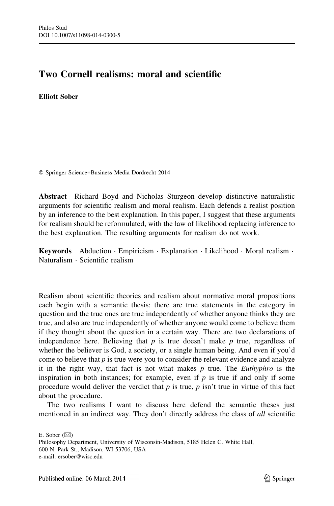# Two Cornell realisms: moral and scientific

Elliott Sober

- Springer Science+Business Media Dordrecht 2014

Abstract Richard Boyd and Nicholas Sturgeon develop distinctive naturalistic arguments for scientific realism and moral realism. Each defends a realist position by an inference to the best explanation. In this paper, I suggest that these arguments for realism should be reformulated, with the law of likelihood replacing inference to the best explanation. The resulting arguments for realism do not work.

Keywords Abduction · Empiricism · Explanation · Likelihood · Moral realism · Naturalism - Scientific realism

Realism about scientific theories and realism about normative moral propositions each begin with a semantic thesis: there are true statements in the category in question and the true ones are true independently of whether anyone thinks they are true, and also are true independently of whether anyone would come to believe them if they thought about the question in a certain way. There are two declarations of independence here. Believing that  $p$  is true doesn't make  $p$  true, regardless of whether the believer is God, a society, or a single human being. And even if you'd come to believe that  $p$  is true were you to consider the relevant evidence and analyze it in the right way, that fact is not what makes  $p$  true. The *Euthyphro* is the inspiration in both instances; for example, even if  $p$  is true if and only if some procedure would deliver the verdict that  $p$  is true,  $p$  isn't true in virtue of this fact about the procedure.

The two realisms I want to discuss here defend the semantic theses just mentioned in an indirect way. They don't directly address the class of all scientific

E. Sober  $(\boxtimes)$ 

Philosophy Department, University of Wisconsin-Madison, 5185 Helen C. White Hall, 600 N. Park St., Madison, WI 53706, USA e-mail: ersober@wisc.edu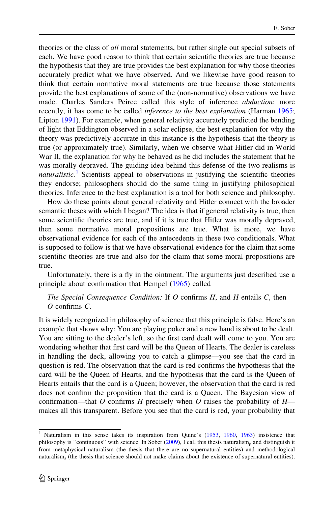theories or the class of *all* moral statements, but rather single out special subsets of each. We have good reason to think that certain scientific theories are true because the hypothesis that they are true provides the best explanation for why those theories accurately predict what we have observed. And we likewise have good reason to think that certain normative moral statements are true because those statements provide the best explanations of some of the (non-normative) observations we have made. Charles Sanders Peirce called this style of inference *abduction*; more recently, it has come to be called *inference to the best explanation* (Harman [1965;](#page-18-0) Lipton [1991](#page-18-0)). For example, when general relativity accurately predicted the bending of light that Eddington observed in a solar eclipse, the best explanation for why the theory was predictively accurate in this instance is the hypothesis that the theory is true (or approximately true). Similarly, when we observe what Hitler did in World War II, the explanation for why he behaved as he did includes the statement that he was morally depraved. The guiding idea behind this defense of the two realisms is naturalistic.<sup>1</sup> Scientists appeal to observations in justifying the scientific theories they endorse; philosophers should do the same thing in justifying philosophical theories. Inference to the best explanation is a tool for both science and philosophy.

How do these points about general relativity and Hitler connect with the broader semantic theses with which I began? The idea is that if general relativity is true, then some scientific theories are true, and if it is true that Hitler was morally depraved, then some normative moral propositions are true. What is more, we have observational evidence for each of the antecedents in these two conditionals. What is supposed to follow is that we have observational evidence for the claim that some scientific theories are true and also for the claim that some moral propositions are true.

Unfortunately, there is a fly in the ointment. The arguments just described use a principle about confirmation that Hempel ([1965\)](#page-18-0) called

## The Special Consequence Condition: If  $O$  confirms  $H$ , and  $H$  entails  $C$ , then  $O$  confirms  $C$ .

It is widely recognized in philosophy of science that this principle is false. Here's an example that shows why: You are playing poker and a new hand is about to be dealt. You are sitting to the dealer's left, so the first card dealt will come to you. You are wondering whether that first card will be the Queen of Hearts. The dealer is careless in handling the deck, allowing you to catch a glimpse—you see that the card in question is red. The observation that the card is red confirms the hypothesis that the card will be the Queen of Hearts, and the hypothesis that the card is the Queen of Hearts entails that the card is a Queen; however, the observation that the card is red does not confirm the proposition that the card is a Queen. The Bayesian view of confirmation—that O confirms H precisely when O raises the probability of  $H$  makes all this transparent. Before you see that the card is red, your probability that

<sup>&</sup>lt;sup>1</sup> Naturalism in this sense takes its inspiration from Quine's  $(1953, 1960, 1963)$  $(1953, 1960, 1963)$  $(1953, 1960, 1963)$  $(1953, 1960, 1963)$  $(1953, 1960, 1963)$  $(1953, 1960, 1963)$  insistence that philosophy is "continuous" with science. In Sober [\(2009](#page-19-0)), I call this thesis naturalism<sub>p</sub> and distinguish it from metaphysical naturalism (the thesis that there are no supernatural entities) and methodological naturalisms (the thesis that science should not make claims about the existence of supernatural entities).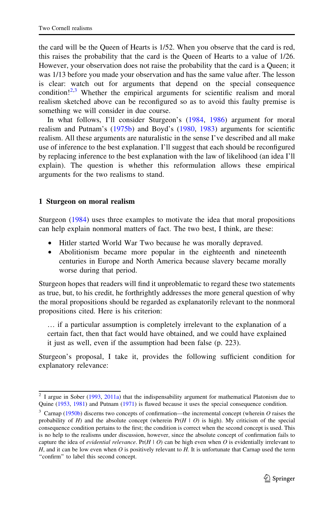the card will be the Queen of Hearts is 1/52. When you observe that the card is red, this raises the probability that the card is the Queen of Hearts to a value of 1/26. However, your observation does not raise the probability that the card is a Queen; it was 1/13 before you made your observation and has the same value after. The lesson is clear: watch out for arguments that depend on the special consequence condition!<sup>2,3</sup> Whether the empirical arguments for scientific realism and moral realism sketched above can be reconfigured so as to avoid this faulty premise is something we will consider in due course.

In what follows, I'll consider Sturgeon's ([1984,](#page-19-0) [1986\)](#page-19-0) argument for moral realism and Putnam's ([1975b\)](#page-18-0) and Boyd's [\(1980](#page-18-0), [1983\)](#page-18-0) arguments for scientific realism. All these arguments are naturalistic in the sense I've described and all make use of inference to the best explanation. I'll suggest that each should be reconfigured by replacing inference to the best explanation with the law of likelihood (an idea I'll explain). The question is whether this reformulation allows these empirical arguments for the two realisms to stand.

### 1 Sturgeon on moral realism

Sturgeon [\(1984](#page-19-0)) uses three examples to motivate the idea that moral propositions can help explain nonmoral matters of fact. The two best, I think, are these:

- Hitler started World War Two because he was morally depraved.
- Abolitionism became more popular in the eighteenth and nineteenth centuries in Europe and North America because slavery became morally worse during that period.

Sturgeon hopes that readers will find it unproblematic to regard these two statements as true, but, to his credit, he forthrightly addresses the more general question of why the moral propositions should be regarded as explanatorily relevant to the nonmoral propositions cited. Here is his criterion:

… if a particular assumption is completely irrelevant to the explanation of a certain fact, then that fact would have obtained, and we could have explained it just as well, even if the assumption had been false (p. 223).

Sturgeon's proposal, I take it, provides the following sufficient condition for explanatory relevance:

 $2$  I argue in Sober ([1993,](#page-19-0) [2011a\)](#page-19-0) that the indispensability argument for mathematical Platonism due to Quine ([1953,](#page-18-0) [1981](#page-18-0)) and Putnam [\(1971](#page-18-0)) is flawed because it uses the special consequence condition.

 $3$  Carnap ([1950b\)](#page-18-0) discerns two concepts of confirmation—the incremental concept (wherein O raises the probability of  $H$ ) and the absolute concept (wherein  $Pr(H | O)$  is high). My criticism of the special consequence condition pertains to the first; the condition is correct when the second concept is used. This is no help to the realisms under discussion, however, since the absolute concept of confirmation fails to capture the idea of *evidential relevance*. Pr( $H | O$ ) can be high even when O is evidentially irrelevant to H, and it can be low even when  $\ddot{o}$  is positively relevant to H. It is unfortunate that Carnap used the term ''confirm'' to label this second concept.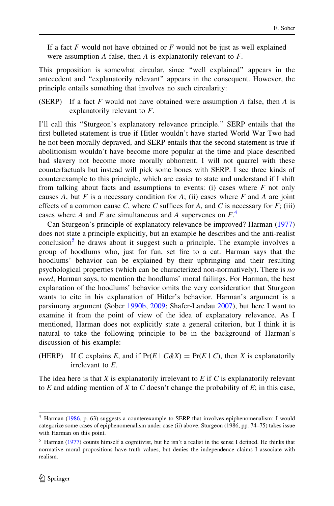If a fact  $F$  would not have obtained or  $F$  would not be just as well explained were assumption A false, then A is explanatorily relevant to F.

This proposition is somewhat circular, since ''well explained'' appears in the antecedent and ''explanatorily relevant'' appears in the consequent. However, the principle entails something that involves no such circularity:

(SERP) If a fact  $F$  would not have obtained were assumption  $A$  false, then  $A$  is explanatorily relevant to F.

I'll call this ''Sturgeon's explanatory relevance principle.'' SERP entails that the first bulleted statement is true if Hitler wouldn't have started World War Two had he not been morally depraved, and SERP entails that the second statement is true if abolitionism wouldn't have become more popular at the time and place described had slavery not become more morally abhorrent. I will not quarrel with these counterfactuals but instead will pick some bones with SERP. I see three kinds of counterexample to this principle, which are easier to state and understand if I shift from talking about facts and assumptions to events: (i) cases where  $F$  not only causes A, but F is a necessary condition for A; (ii) cases where F and A are joint effects of a common cause C, where C suffices for A, and C is necessary for  $F$ ; (iii) cases where A and F are simultaneous and A supervenes on  $F^4$ .

Can Sturgeon's principle of explanatory relevance be improved? Harman [\(1977](#page-18-0)) does not state a principle explicitly, but an example he describes and the anti-realist conclusion<sup>5</sup> he draws about it suggest such a principle. The example involves a group of hoodlums who, just for fun, set fire to a cat. Harman says that the hoodlums' behavior can be explained by their upbringing and their resulting psychological properties (which can be characterized non-normatively). There is no need, Harman says, to mention the hoodlums' moral failings. For Harman, the best explanation of the hoodlums' behavior omits the very consideration that Sturgeon wants to cite in his explanation of Hitler's behavior. Harman's argument is a parsimony argument (Sober [1990b](#page-19-0), [2009;](#page-19-0) Shafer-Landau [2007](#page-19-0)), but here I want to examine it from the point of view of the idea of explanatory relevance. As I mentioned, Harman does not explicitly state a general criterion, but I think it is natural to take the following principle to be in the background of Harman's discussion of his example:

(HERP) If C explains E, and if  $Pr(E | C \& X) = Pr(E | C)$ , then X is explanatorily irrelevant to E.

The idea here is that  $X$  is explanatorily irrelevant to  $E$  if  $C$  is explanatorily relevant to E and adding mention of X to C doesn't change the probability of E; in this case,

<sup>4</sup> Harman [\(1986](#page-18-0), p. 63) suggests a counterexample to SERP that involves epiphenomenalism; I would categorize some cases of epiphenomenalism under case (ii) above. Sturgeon (1986, pp. 74–75) takes issue with Harman on this point.

<sup>5</sup> Harman ([1977\)](#page-18-0) counts himself a cognitivist, but he isn't a realist in the sense I defined. He thinks that normative moral propositions have truth values, but denies the independence claims I associate with realism.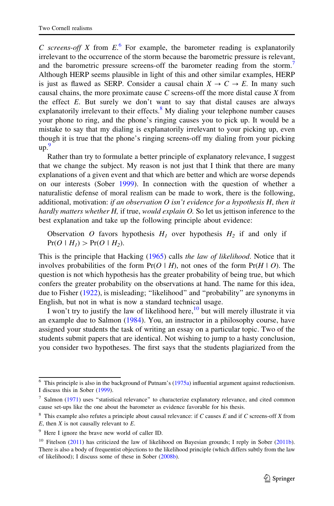C screens-off X from  $E^6$ . For example, the barometer reading is explanatorily irrelevant to the occurrence of the storm because the barometric pressure is relevant, and the barometric pressure screens-off the barometer reading from the storm.<sup>7</sup> Although HERP seems plausible in light of this and other similar examples, HERP is just as flawed as SERP. Consider a causal chain  $X \to C \to E$ . In many such causal chains, the more proximate cause  $C$  screens-off the more distal cause  $X$  from the effect  $E$ . But surely we don't want to say that distal causes are always explanatorily irrelevant to their effects.<sup>8</sup> My dialing your telephone number causes your phone to ring, and the phone's ringing causes you to pick up. It would be a mistake to say that my dialing is explanatorily irrelevant to your picking up, even though it is true that the phone's ringing screens-off my dialing from your picking  $un.<sup>9</sup>$ 

Rather than try to formulate a better principle of explanatory relevance, I suggest that we change the subject. My reason is not just that I think that there are many explanations of a given event and that which are better and which are worse depends on our interests (Sober [1999\)](#page-19-0). In connection with the question of whether a naturalistic defense of moral realism can be made to work, there is the following, additional, motivation: if an observation  $O$  isn't evidence for a hypothesis  $H$ , then it hardly matters whether H, if true, would explain O. So let us jettison inference to the best explanation and take up the following principle about evidence:

Observation O favors hypothesis  $H_1$  over hypothesis  $H_2$  if and only if  $Pr(O | H_1) > Pr(O | H_2).$ 

This is the principle that Hacking ([1965\)](#page-18-0) calls the law of likelihood. Notice that it involves probabilities of the form  $Pr(O|H)$ , not ones of the form  $Pr(H|O)$ . The question is not which hypothesis has the greater probability of being true, but which confers the greater probability on the observations at hand. The name for this idea, due to Fisher ([1922\)](#page-18-0), is misleading; "likelihood" and "probability" are synonyms in English, but not in what is now a standard technical usage.

I won't try to justify the law of likelihood here,  $10<sup>10</sup>$  but will merely illustrate it via an example due to Salmon [\(1984](#page-19-0)). You, an instructor in a philosophy course, have assigned your students the task of writing an essay on a particular topic. Two of the students submit papers that are identical. Not wishing to jump to a hasty conclusion, you consider two hypotheses. The first says that the students plagiarized from the

 $6$  This principle is also in the background of Putnam's ([1975a\)](#page-18-0) influential argument against reductionism. I discuss this in Sober ([1999\)](#page-19-0).

<sup>7</sup> Salmon ([1971\)](#page-18-0) uses ''statistical relevance'' to characterize explanatory relevance, and cited common cause set-ups like the one about the barometer as evidence favorable for his thesis.

 $8$  This example also refutes a principle about causal relevance: if C causes E and if C screens-off X from  $E$ , then  $X$  is not causally relevant to  $E$ .

<sup>9</sup> Here I ignore the brave new world of caller ID.

<sup>&</sup>lt;sup>10</sup> Fitelson [\(2011](#page-18-0)) has criticized the law of likelihood on Bayesian grounds; I reply in Sober ([2011b\)](#page-19-0). There is also a body of frequentist objections to the likelihood principle (which differs subtly from the law of likelihood); I discuss some of these in Sober ([2008b](#page-19-0)).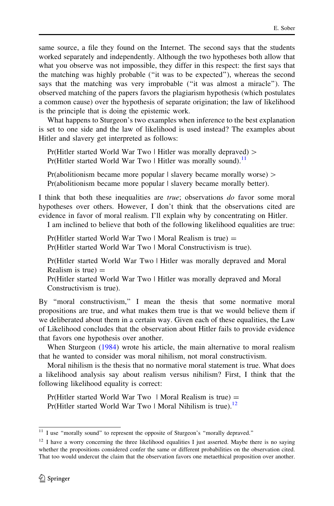same source, a file they found on the Internet. The second says that the students worked separately and independently. Although the two hypotheses both allow that what you observe was not impossible, they differ in this respect: the first says that the matching was highly probable (''it was to be expected''), whereas the second says that the matching was very improbable (''it was almost a miracle''). The observed matching of the papers favors the plagiarism hypothesis (which postulates a common cause) over the hypothesis of separate origination; the law of likelihood is the principle that is doing the epistemic work.

What happens to Sturgeon's two examples when inference to the best explanation is set to one side and the law of likelihood is used instead? The examples about Hitler and slavery get interpreted as follows:

 $Pr(Hitter\ started\ World\ War\ Two\ | \ Hitler\ was\ morally\ depraved)$  >  $Pr(Hitter started World War Two | Hitler was morally sound).$ <sup>11</sup>

 $Pr(abolitionism became more popular | slavery became morally worse)$ Pr(abolitionism became more popular | slavery became morally better).

I think that both these inequalities are *true*; observations *do* favor some moral hypotheses over others. However, I don't think that the observations cited are evidence in favor of moral realism. I'll explain why by concentrating on Hitler.

I am inclined to believe that both of the following likelihood equalities are true:

Pr(Hitler started World War Two | Moral Realism is true)  $=$ Pr(Hitler started World War Two | Moral Constructivism is true).

Pr(Hitler started World War Two | Hitler was morally depraved and Moral Realism is true)  $=$ 

Pr(Hitler started World War Two | Hitler was morally depraved and Moral Constructivism is true).

By ''moral constructivism,'' I mean the thesis that some normative moral propositions are true, and what makes them true is that we would believe them if we deliberated about them in a certain way. Given each of these equalities, the Law of Likelihood concludes that the observation about Hitler fails to provide evidence that favors one hypothesis over another.

When Sturgeon [\(1984](#page-19-0)) wrote his article, the main alternative to moral realism that he wanted to consider was moral nihilism, not moral constructivism.

Moral nihilism is the thesis that no normative moral statement is true. What does a likelihood analysis say about realism versus nihilism? First, I think that the following likelihood equality is correct:

Pr(Hitler started World War Two | Moral Realism is true)  $=$ Pr(Hitler started World War Two | Moral Nihilism is true).<sup>12</sup>

 $\frac{11}{11}$  I use "morally sound" to represent the opposite of Sturgeon's "morally depraved."

<sup>&</sup>lt;sup>12</sup> I have a worry concerning the three likelihood equalities I just asserted. Maybe there is no saying whether the propositions considered confer the same or different probabilities on the observation cited. That too would undercut the claim that the observation favors one metaethical proposition over another.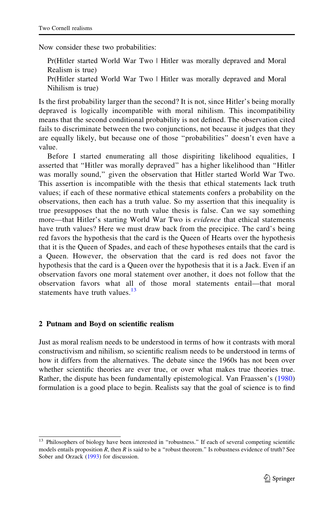Now consider these two probabilities:

Pr(Hitler started World War Two | Hitler was morally depraved and Moral Realism is true)

Pr(Hitler started World War Two | Hitler was morally depraved and Moral Nihilism is true)

Is the first probability larger than the second? It is not, since Hitler's being morally depraved is logically incompatible with moral nihilism. This incompatibility means that the second conditional probability is not defined. The observation cited fails to discriminate between the two conjunctions, not because it judges that they are equally likely, but because one of those ''probabilities'' doesn't even have a value.

Before I started enumerating all those dispiriting likelihood equalities, I asserted that ''Hitler was morally depraved'' has a higher likelihood than ''Hitler was morally sound,'' given the observation that Hitler started World War Two. This assertion is incompatible with the thesis that ethical statements lack truth values; if each of these normative ethical statements confers a probability on the observations, then each has a truth value. So my assertion that this inequality is true presupposes that the no truth value thesis is false. Can we say something more—that Hitler's starting World War Two is evidence that ethical statements have truth values? Here we must draw back from the precipice. The card's being red favors the hypothesis that the card is the Queen of Hearts over the hypothesis that it is the Queen of Spades, and each of these hypotheses entails that the card is a Queen. However, the observation that the card is red does not favor the hypothesis that the card is a Queen over the hypothesis that it is a Jack. Even if an observation favors one moral statement over another, it does not follow that the observation favors what all of those moral statements entail—that moral statements have truth values.<sup>13</sup>

### 2 Putnam and Boyd on scientific realism

Just as moral realism needs to be understood in terms of how it contrasts with moral constructivism and nihilism, so scientific realism needs to be understood in terms of how it differs from the alternatives. The debate since the 1960s has not been over whether scientific theories are ever true, or over what makes true theories true. Rather, the dispute has been fundamentally epistemological. Van Fraassen's [\(1980](#page-19-0)) formulation is a good place to begin. Realists say that the goal of science is to find

<sup>&</sup>lt;sup>13</sup> Philosophers of biology have been interested in "robustness." If each of several competing scientific models entails proposition  $R$ , then  $R$  is said to be a "robust theorem." Is robustness evidence of truth? See Sober and Orzack ([1993\)](#page-19-0) for discussion.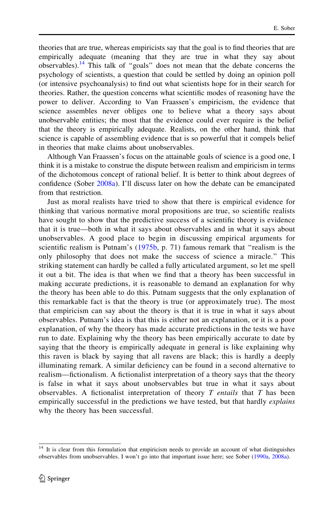theories that are true, whereas empiricists say that the goal is to find theories that are empirically adequate (meaning that they are true in what they say about observables).<sup>14</sup> This talk of "goals" does not mean that the debate concerns the psychology of scientists, a question that could be settled by doing an opinion poll (or intensive psychoanalysis) to find out what scientists hope for in their search for theories. Rather, the question concerns what scientific modes of reasoning have the power to deliver. According to Van Fraassen's empiricism, the evidence that science assembles never obliges one to believe what a theory says about unobservable entities; the most that the evidence could ever require is the belief that the theory is empirically adequate. Realists, on the other hand, think that science is capable of assembling evidence that is so powerful that it compels belief in theories that make claims about unobservables.

Although Van Fraassen's focus on the attainable goals of science is a good one, I think it is a mistake to construe the dispute between realism and empiricism in terms of the dichotomous concept of rational belief. It is better to think about degrees of confidence (Sober [2008a\)](#page-19-0). I'll discuss later on how the debate can be emancipated from that restriction.

Just as moral realists have tried to show that there is empirical evidence for thinking that various normative moral propositions are true, so scientific realists have sought to show that the predictive success of a scientific theory is evidence that it is true—both in what it says about observables and in what it says about unobservables. A good place to begin in discussing empirical arguments for scientific realism is Putnam's [\(1975b,](#page-18-0) p. 71) famous remark that ''realism is the only philosophy that does not make the success of science a miracle.'' This striking statement can hardly be called a fully articulated argument, so let me spell it out a bit. The idea is that when we find that a theory has been successful in making accurate predictions, it is reasonable to demand an explanation for why the theory has been able to do this. Putnam suggests that the only explanation of this remarkable fact is that the theory is true (or approximately true). The most that empiricism can say about the theory is that it is true in what it says about observables. Putnam's idea is that this is either not an explanation, or it is a poor explanation, of why the theory has made accurate predictions in the tests we have run to date. Explaining why the theory has been empirically accurate to date by saying that the theory is empirically adequate in general is like explaining why this raven is black by saying that all ravens are black; this is hardly a deeply illuminating remark. A similar deficiency can be found in a second alternative to realism—fictionalism. A fictionalist interpretation of a theory says that the theory is false in what it says about unobservables but true in what it says about observables. A fictionalist interpretation of theory  $T$  entails that  $T$  has been empirically successful in the predictions we have tested, but that hardly *explains* why the theory has been successful.

 $\frac{14}{14}$  It is clear from this formulation that empiricism needs to provide an account of what distinguishes observables from unobservables. I won't go into that important issue here; see Sober ([1990a](#page-19-0), [2008a\)](#page-19-0).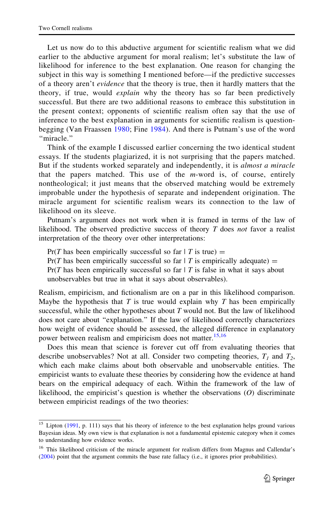Let us now do to this abductive argument for scientific realism what we did earlier to the abductive argument for moral realism; let's substitute the law of likelihood for inference to the best explanation. One reason for changing the subject in this way is something I mentioned before—if the predictive successes of a theory aren't evidence that the theory is true, then it hardly matters that the theory, if true, would *explain* why the theory has so far been predictively successful. But there are two additional reasons to embrace this substitution in the present context; opponents of scientific realism often say that the use of inference to the best explanation in arguments for scientific realism is questionbegging (Van Fraassen [1980;](#page-19-0) Fine [1984](#page-18-0)). And there is Putnam's use of the word ''miracle.''

Think of the example I discussed earlier concerning the two identical student essays. If the students plagiarized, it is not surprising that the papers matched. But if the students worked separately and independently, it is *almost a miracle* that the papers matched. This use of the  $m$ -word is, of course, entirely nontheological; it just means that the observed matching would be extremely improbable under the hypothesis of separate and independent origination. The miracle argument for scientific realism wears its connection to the law of likelihood on its sleeve.

Putnam's argument does not work when it is framed in terms of the law of likelihood. The observed predictive success of theory  $T$  does not favor a realist interpretation of the theory over other interpretations:

 $Pr(T \text{ has been empirically successful so far} | T \text{ is true}) =$ 

 $Pr(T \text{ has been empirically successful so far} | T \text{ is empirically adequate}) =$ 

 $Pr(T \text{ has been empirically successful so far} | T \text{ is false in what it says about}$ unobservables but true in what it says about observables).

Realism, empiricism, and fictionalism are on a par in this likelihood comparison. Maybe the hypothesis that  $T$  is true would explain why  $T$  has been empirically successful, while the other hypotheses about  $T$  would not. But the law of likelihood does not care about ''explanation.'' If the law of likelihood correctly characterizes how weight of evidence should be assessed, the alleged difference in explanatory power between realism and empiricism does not matter.<sup>15,16</sup>

Does this mean that science is forever cut off from evaluating theories that describe unobservables? Not at all. Consider two competing theories,  $T_1$  and  $T_2$ , which each make claims about both observable and unobservable entities. The empiricist wants to evaluate these theories by considering how the evidence at hand bears on the empirical adequacy of each. Within the framework of the law of likelihood, the empiricist's question is whether the observations  $(O)$  discriminate between empiricist readings of the two theories:

<sup>&</sup>lt;sup>15</sup> Lipton ([1991,](#page-18-0) p. 111) says that his theory of inference to the best explanation helps ground various Bayesian ideas. My own view is that explanation is not a fundamental epistemic category when it comes to understanding how evidence works.

<sup>&</sup>lt;sup>16</sup> This likelihood criticism of the miracle argument for realism differs from Magnus and Callendar's ([2004\)](#page-18-0) point that the argument commits the base rate fallacy (i.e., it ignores prior probabilities).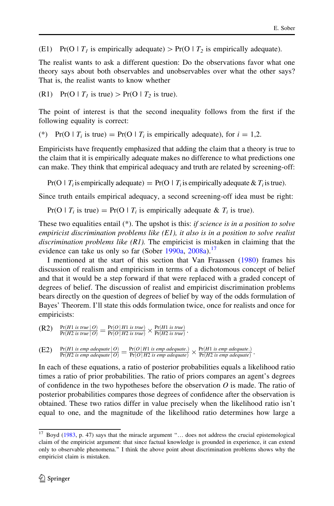(E1) Pr(O |  $T_1$  is empirically adequate) > Pr(O |  $T_2$  is empirically adequate).

The realist wants to ask a different question: Do the observations favor what one theory says about both observables and unobservables over what the other says? That is, the realist wants to know whether

(R1) Pr(O  $|T_1$  is true) > Pr(O  $|T_2$  is true).

The point of interest is that the second inequality follows from the first if the following equality is correct:

(\*) Pr(O |  $T_i$  is true) = Pr(O |  $T_i$  is empirically adequate), for  $i = 1,2$ .

Empiricists have frequently emphasized that adding the claim that a theory is true to the claim that it is empirically adequate makes no difference to what predictions one can make. They think that empirical adequacy and truth are related by screening-off:

 $Pr(O | T_i)$  is empirically adequate) =  $Pr(O | T_i)$  is empirically adequate &  $T_i$  is true).

Since truth entails empirical adequacy, a second screening-off idea must be right:

 $Pr(O | T_i \text{ is true}) = Pr(O | T_i \text{ is empirically adequate } \& T_i \text{ is true}).$ 

These two equalities entail  $(*)$ . The upshot is this: *if science is in a position to solve* empiricist discrimination problems like  $(E1)$ , it also is in a position to solve realist discrimination problems like  $(R1)$ . The empiricist is mistaken in claiming that the evidence can take us only so far (Sober  $1990a$ ,  $2008a$ ).<sup>17</sup>

I mentioned at the start of this section that Van Fraassen ([1980\)](#page-19-0) frames his discussion of realism and empiricism in terms of a dichotomous concept of belief and that it would be a step forward if that were replaced with a graded concept of degrees of belief. The discussion of realist and empiricist discrimination problems bears directly on the question of degrees of belief by way of the odds formulation of Bayes' Theorem. I'll state this odds formulation twice, once for realists and once for empiricists:

 $\text{(R2)} \quad \frac{\Pr(H1 \text{ is true } | O)}{\Pr(H2 \text{ is true } | O)} = \frac{\Pr(O | H1 \text{ is true})}{\Pr(O | H2 \text{ is true})} \times \frac{\Pr(H1 \text{ is true})}{\Pr(H2 \text{ is true})}.$ 

(E2) 
$$
\frac{\Pr(H1 \text{ is emp adequate} | O)}{\Pr(H2 \text{ is emp adequate} | O)} = \frac{\Pr(O | H1 \text{ is emp adequate.})}{\Pr(O | H2 \text{ is emp adequate})} \times \frac{\Pr(H1 \text{ is emp adequate.})}{\Pr(H2 \text{ is emp adequate})}.
$$

In each of these equations, a ratio of posterior probabilities equals a likelihood ratio times a ratio of prior probabilities. The ratio of priors compares an agent's degrees of confidence in the two hypotheses before the observation  $O$  is made. The ratio of posterior probabilities compares those degrees of confidence after the observation is obtained. These two ratios differ in value precisely when the likelihood ratio isn't equal to one, and the magnitude of the likelihood ratio determines how large a

<sup>&</sup>lt;sup>17</sup> Boyd ([1983](#page-18-0), p. 47) says that the miracle argument "... does not address the crucial epistemological claim of the empiricist argument: that since factual knowledge is grounded in experience, it can extend only to observable phenomena.'' I think the above point about discrimination problems shows why the empiricist claim is mistaken.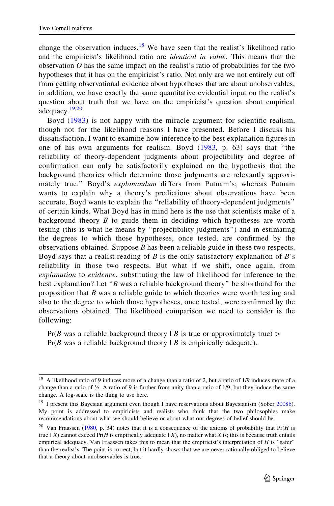change the observation induces.<sup>18</sup> We have seen that the realist's likelihood ratio and the empiricist's likelihood ratio are identical in value. This means that the observation  $O$  has the same impact on the realist's ratio of probabilities for the two hypotheses that it has on the empiricist's ratio. Not only are we not entirely cut off from getting observational evidence about hypotheses that are about unobservables; in addition, we have exactly the same quantitative evidential input on the realist's question about truth that we have on the empiricist's question about empirical adequacy. $\frac{19,20}{2}$ 

Boyd [\(1983\)](#page-18-0) is not happy with the miracle argument for scientific realism, though not for the likelihood reasons I have presented. Before I discuss his dissatisfaction, I want to examine how inference to the best explanation figures in one of his own arguments for realism. Boyd ([1983](#page-18-0), p. 63) says that ''the reliability of theory-dependent judgments about projectibility and degree of confirmation can only be satisfactorily explained on the hypothesis that the background theories which determine those judgments are relevantly approximately true." Boyd's *explanandum* differs from Putnam's: whereas Putnam wants to explain why a theory's predictions about observations have been accurate, Boyd wants to explain the ''reliability of theory-dependent judgments'' of certain kinds. What Boyd has in mind here is the use that scientists make of a background theory  $B$  to guide them in deciding which hypotheses are worth testing (this is what he means by ''projectibility judgments'') and in estimating the degrees to which those hypotheses, once tested, are confirmed by the observations obtained. Suppose  $B$  has been a reliable guide in these two respects. Boyd says that a realist reading of  $B$  is the only satisfactory explanation of  $B$ 's reliability in those two respects. But what if we shift, once again, from explanation to evidence, substituting the law of likelihood for inference to the best explanation? Let ''B was a reliable background theory'' be shorthand for the proposition that B was a reliable guide to which theories were worth testing and also to the degree to which those hypotheses, once tested, were confirmed by the observations obtained. The likelihood comparison we need to consider is the following:

 $Pr(B$  was a reliable background theory  $|B|$  is true or approximately true)  $\ge$  $Pr(B$  was a reliable background theory  $|B|$  is empirically adequate).

<sup>&</sup>lt;sup>18</sup> A likelihood ratio of 9 induces more of a change than a ratio of 2, but a ratio of 1/9 induces more of a change than a ratio of  $\frac{1}{2}$ . A ratio of 9 is further from unity than a ratio of 1/9, but they induce the same change. A log-scale is the thing to use here.

<sup>&</sup>lt;sup>19</sup> I present this Bayesian argument even though I have reservations about Bayesianism (Sober [2008b\)](#page-19-0). My point is addressed to empiricists and realists who think that the two philosophies make recommendations about what we should believe or about what our degrees of belief should be.

<sup>&</sup>lt;sup>20</sup> Van Fraassen [\(1980](#page-19-0), p. 34) notes that it is a consequence of the axioms of probability that Pr(H is true | X) cannot exceed  $Pr(H$  is empirically adequate | X), no matter what X is; this is because truth entails empirical adequacy. Van Fraassen takes this to mean that the empiricist's interpretation of H is "safer" than the realist's. The point is correct, but it hardly shows that we are never rationally obliged to believe that a theory about unobservables is true.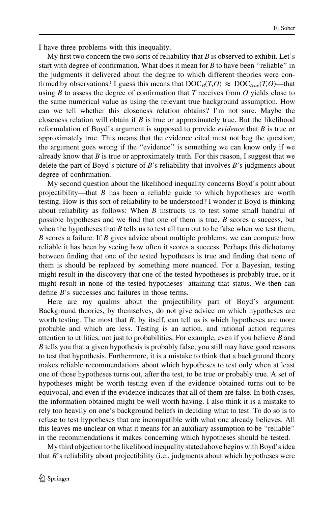I have three problems with this inequality.

My first two concern the two sorts of reliability that  $B$  is observed to exhibit. Let's start with degree of confirmation. What does it mean for  $B$  to have been "reliable" in the judgments it delivered about the degree to which different theories were confirmed by observations? I guess this means that  $\text{DOC}_B(T, O) \approx \text{DOC}_{true}(T, O)$ —that using  $B$  to assess the degree of confirmation that  $T$  receives from  $O$  yields close to the same numerical value as using the relevant true background assumption. How can we tell whether this closeness relation obtains? I'm not sure. Maybe the closeness relation will obtain if  $B$  is true or approximately true. But the likelihood reformulation of Boyd's argument is supposed to provide *evidence* that  $B$  is true or approximately true. This means that the evidence cited must not beg the question; the argument goes wrong if the ''evidence'' is something we can know only if we already know that  $B$  is true or approximately truth. For this reason, I suggest that we delete the part of Boyd's picture of  $B$ 's reliability that involves  $B$ 's judgments about degree of confirmation.

My second question about the likelihood inequality concerns Boyd's point about projectibility—that  $B$  has been a reliable guide to which hypotheses are worth testing. How is this sort of reliability to be understood? I wonder if Boyd is thinking about reliability as follows: When  $B$  instructs us to test some small handful of possible hypotheses and we find that one of them is true,  $\hat{B}$  scores a success, but when the hypotheses that  $B$  tells us to test all turn out to be false when we test them, B scores a failure. If B gives advice about multiple problems, we can compute how reliable it has been by seeing how often it scores a success. Perhaps this dichotomy between finding that one of the tested hypotheses is true and finding that none of them is should be replaced by something more nuanced. For a Bayesian, testing might result in the discovery that one of the tested hypotheses is probably true, or it might result in none of the tested hypotheses' attaining that status. We then can define B's successes and failures in those terms.

Here are my qualms about the projectibility part of Boyd's argument: Background theories, by themselves, do not give advice on which hypotheses are worth testing. The most that  $B$ , by itself, can tell us is which hypotheses are more probable and which are less. Testing is an action, and rational action requires attention to utilities, not just to probabilities. For example, even if you believe  $B$  and B tells you that a given hypothesis is probably false, you still may have good reasons to test that hypothesis. Furthermore, it is a mistake to think that a background theory makes reliable recommendations about which hypotheses to test only when at least one of those hypotheses turns out, after the test, to be true or probably true. A set of hypotheses might be worth testing even if the evidence obtained turns out to be equivocal, and even if the evidence indicates that all of them are false. In both cases, the information obtained might be well worth having. I also think it is a mistake to rely too heavily on one's background beliefs in deciding what to test. To do so is to refuse to test hypotheses that are incompatible with what one already believes. All this leaves me unclear on what it means for an auxiliary assumption to be ''reliable'' in the recommendations it makes concerning which hypotheses should be tested.

My third objection to the likelihood inequality stated above begins with Boyd's idea that B's reliability about projectibility (i.e., judgments about which hypotheses were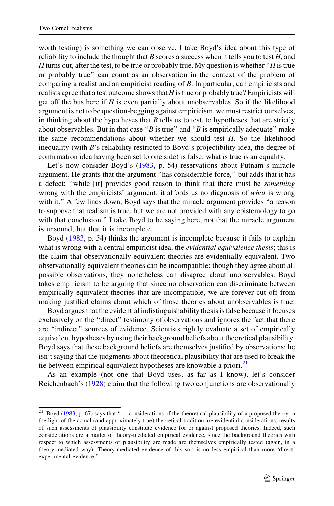worth testing) is something we can observe. I take Boyd's idea about this type of reliability to include the thought that B scores a success when it tells you to test H, and H turns out, after the test, to be true or probably true. My question is whether " $H$  is true or probably true'' can count as an observation in the context of the problem of comparing a realist and an empiricist reading of B. In particular, can empiricists and realists agree that a test outcome shows that  $H$  is true or probably true? Empiricists will get off the bus here if  $H$  is even partially about unobservables. So if the likelihood argument is not to be question-begging against empiricism, we must restrict ourselves, in thinking about the hypotheses that  $B$  tells us to test, to hypotheses that are strictly about observables. But in that case "B is true" and "B is empirically adequate" make the same recommendations about whether we should test  $H$ . So the likelihood inequality (with B's reliability restricted to Boyd's projectibility idea, the degree of confirmation idea having been set to one side) is false; what is true is an equality.

Let's now consider Boyd's [\(1983](#page-18-0), p. 54) reservations about Putnam's miracle argument. He grants that the argument ''has considerable force,'' but adds that it has a defect: ''while [it] provides good reason to think that there must be something wrong with the empiricists' argument, it affords us no diagnosis of what is wrong with it." A few lines down, Boyd says that the miracle argument provides "a reason to suppose that realism is true, but we are not provided with any epistemology to go with that conclusion." I take Boyd to be saying here, not that the miracle argument is unsound, but that it is incomplete.

Boyd [\(1983](#page-18-0), p. 54) thinks the argument is incomplete because it fails to explain what is wrong with a central empiricist idea, the *evidential equivalence thesis*; this is the claim that observationally equivalent theories are evidentially equivalent. Two observationally equivalent theories can be incompatible; though they agree about all possible observations, they nonetheless can disagree about unobservables. Boyd takes empiricism to be arguing that since no observation can discriminate between empirically equivalent theories that are incompatible, we are forever cut off from making justified claims about which of those theories about unobservables is true.

Boyd argues that the evidential indistinguishability thesis is false because it focuses exclusively on the ''direct'' testimony of observations and ignores the fact that there are ''indirect'' sources of evidence. Scientists rightly evaluate a set of empirically equivalent hypotheses by using their background beliefs about theoretical plausibility. Boyd says that these background beliefs are themselves justified by observations; he isn't saying that the judgments about theoretical plausibility that are used to break the tie between empirical equivalent hypotheses are knowable a priori.<sup>21</sup>

As an example (not one that Boyd uses, as far as I know), let's consider Reichenbach's ([1928\)](#page-18-0) claim that the following two conjunctions are observationally

 $21$  Boyd [\(1983](#page-18-0), p. 67) says that "... considerations of the theoretical plausibility of a proposed theory in the light of the actual (and approximately true) theoretical tradition are evidential considerations: results of such assessments of plausibility constitute evidence for or against proposed theories. Indeed, such considerations are a matter of theory-mediated empirical evidence, since the background theories with respect to which assessments of plausibility are made are themselves empirically tested (again, in a theory-mediated way). Theory-mediated evidence of this sort is no less empirical than more 'direct' experimental evidence.''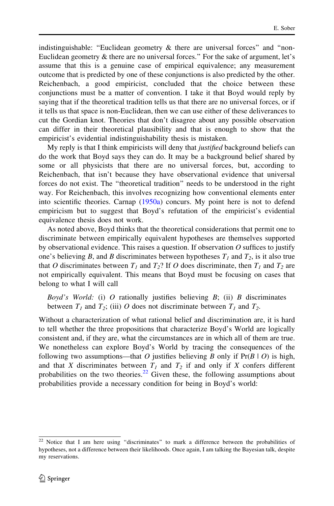indistinguishable: "Euclidean geometry  $\&$  there are universal forces" and "non-Euclidean geometry & there are no universal forces.'' For the sake of argument, let's assume that this is a genuine case of empirical equivalence; any measurement outcome that is predicted by one of these conjunctions is also predicted by the other. Reichenbach, a good empiricist, concluded that the choice between these conjunctions must be a matter of convention. I take it that Boyd would reply by saying that if the theoretical tradition tells us that there are no universal forces, or if it tells us that space is non-Euclidean, then we can use either of these deliverances to cut the Gordian knot. Theories that don't disagree about any possible observation can differ in their theoretical plausibility and that is enough to show that the empiricist's evidential indistinguishability thesis is mistaken.

My reply is that I think empiricists will deny that *justified* background beliefs can do the work that Boyd says they can do. It may be a background belief shared by some or all physicists that there are no universal forces, but, according to Reichenbach, that isn't because they have observational evidence that universal forces do not exist. The ''theoretical tradition'' needs to be understood in the right way. For Reichenbach, this involves recognizing how conventional elements enter into scientific theories. Carnap [\(1950a\)](#page-18-0) concurs. My point here is not to defend empiricism but to suggest that Boyd's refutation of the empiricist's evidential equivalence thesis does not work.

As noted above, Boyd thinks that the theoretical considerations that permit one to discriminate between empirically equivalent hypotheses are themselves supported by observational evidence. This raises a question. If observation  $\hat{O}$  suffices to justify one's believing B, and B discriminates between hypotheses  $T_1$  and  $T_2$ , is it also true that O discriminates between  $T_1$  and  $T_2$ ? If O does discriminate, then  $T_1$  and  $T_2$  are not empirically equivalent. This means that Boyd must be focusing on cases that belong to what I will call

Boyd's World: (i) O rationally justifies believing  $B$ ; (ii) B discriminates between  $T_1$  and  $T_2$ ; (iii) O does not discriminate between  $T_1$  and  $T_2$ .

Without a characterization of what rational belief and discrimination are, it is hard to tell whether the three propositions that characterize Boyd's World are logically consistent and, if they are, what the circumstances are in which all of them are true. We nonetheless can explore Boyd's World by tracing the consequences of the following two assumptions—that O justifies believing B only if  $Pr(B | O)$  is high, and that X discriminates between  $T_1$  and  $T_2$  if and only if X confers different probabilities on the two theories.<sup>22</sup> Given these, the following assumptions about probabilities provide a necessary condition for being in Boyd's world:

 $22$  Notice that I am here using "discriminates" to mark a difference between the probabilities of hypotheses, not a difference between their likelihoods. Once again, I am talking the Bayesian talk, despite my reservations.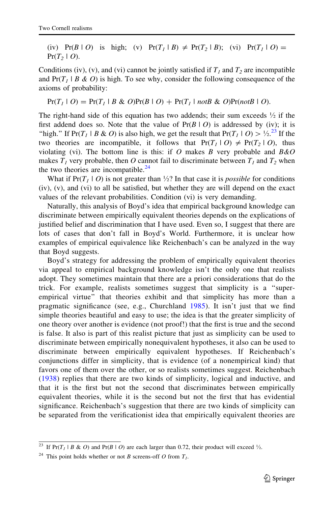(iv) Pr(B | O) is high; (v) Pr(T<sub>1</sub> | B)  $\neq$  Pr(T<sub>2</sub> | B); (vi) Pr(T<sub>1</sub> | O) =  $Pr(T_2 | O)$ .

Conditions (iv), (v), and (vi) cannot be jointly satisfied if  $T_1$  and  $T_2$  are incompatible and  $Pr(T_1 | B \& O)$  is high. To see why, consider the following consequence of the axioms of probability:

$$
Pr(TI | O) = Pr(TI | B & O)Pr(B | O) + Pr(TI | notB & O)Pr(notB | O).
$$

The right-hand side of this equation has two addends; their sum exceeds  $\frac{1}{2}$  if the first addend does so. Note that the value of  $Pr(B | O)$  is addressed by (iv); it is "high." If Pr(T<sub>1</sub> | B & O) is also high, we get the result that Pr(T<sub>1</sub> | O) >  $\frac{1}{2}$ .<sup>23</sup> If the two theories are incompatible, it follows that  $Pr(T_1 | O) \neq Pr(T_2 | O)$ , thus violating (vi). The bottom line is this: if  $O$  makes  $B$  very probable and  $B\&O$ makes  $T_1$  very probable, then O cannot fail to discriminate between  $T_1$  and  $T_2$  when the two theories are incompatible. $24$ 

What if  $Pr(T_1 | O)$  is not greater than  $\frac{1}{2}$ ? In that case it is *possible* for conditions (iv), (v), and (vi) to all be satisfied, but whether they are will depend on the exact values of the relevant probabilities. Condition (vi) is very demanding.

Naturally, this analysis of Boyd's idea that empirical background knowledge can discriminate between empirically equivalent theories depends on the explications of justified belief and discrimination that I have used. Even so, I suggest that there are lots of cases that don't fall in Boyd's World. Furthermore, it is unclear how examples of empirical equivalence like Reichenbach's can be analyzed in the way that Boyd suggests.

Boyd's strategy for addressing the problem of empirically equivalent theories via appeal to empirical background knowledge isn't the only one that realists adopt. They sometimes maintain that there are a priori considerations that do the trick. For example, realists sometimes suggest that simplicity is a ''superempirical virtue'' that theories exhibit and that simplicity has more than a pragmatic significance (see, e.g., Churchland [1985](#page-18-0)). It isn't just that we find simple theories beautiful and easy to use; the idea is that the greater simplicity of one theory over another is evidence (not proof!) that the first is true and the second is false. It also is part of this realist picture that just as simplicity can be used to discriminate between empirically nonequivalent hypotheses, it also can be used to discriminate between empirically equivalent hypotheses. If Reichenbach's conjunctions differ in simplicity, that is evidence (of a nonempirical kind) that favors one of them over the other, or so realists sometimes suggest. Reichenbach [\(1938\)](#page-18-0) replies that there are two kinds of simplicity, logical and inductive, and that it is the first but not the second that discriminates between empirically equivalent theories, while it is the second but not the first that has evidential significance. Reichenbach's suggestion that there are two kinds of simplicity can be separated from the verificationist idea that empirically equivalent theories are

<sup>&</sup>lt;sup>23</sup> If Pr(T<sub>1</sub> | B & O) and Pr(B | O) are each larger than 0.72, their product will exceed  $\frac{1}{2}$ .

<sup>&</sup>lt;sup>24</sup> This point holds whether or not B screens-off O from  $T_1$ .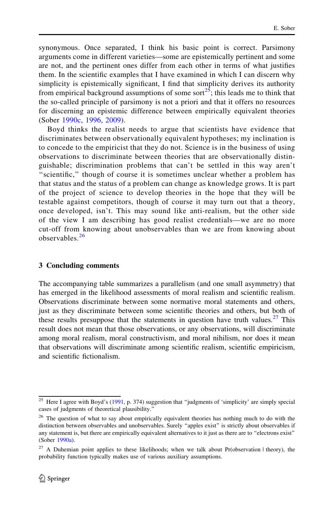synonymous. Once separated, I think his basic point is correct. Parsimony arguments come in different varieties—some are epistemically pertinent and some are not, and the pertinent ones differ from each other in terms of what justifies them. In the scientific examples that I have examined in which I can discern why simplicity is epistemically significant, I find that simplicity derives its authority from empirical background assumptions of some sort<sup>25</sup>; this leads me to think that the so-called principle of parsimony is not a priori and that it offers no resources for discerning an epistemic difference between empirically equivalent theories (Sober [1990c,](#page-19-0) [1996,](#page-19-0) [2009](#page-19-0)).

Boyd thinks the realist needs to argue that scientists have evidence that discriminates between observationally equivalent hypotheses; my inclination is to concede to the empiricist that they do not. Science is in the business of using observations to discriminate between theories that are observationally distinguishable; discrimination problems that can't be settled in this way aren't ''scientific,'' though of course it is sometimes unclear whether a problem has that status and the status of a problem can change as knowledge grows. It is part of the project of science to develop theories in the hope that they will be testable against competitors, though of course it may turn out that a theory, once developed, isn't. This may sound like anti-realism, but the other side of the view I am describing has good realist credentials—we are no more cut-off from knowing about unobservables than we are from knowing about observables.<sup>26</sup>

#### 3 Concluding comments

The accompanying table summarizes a parallelism (and one small asymmetry) that has emerged in the likelihood assessments of moral realism and scientific realism. Observations discriminate between some normative moral statements and others, just as they discriminate between some scientific theories and others, but both of these results presuppose that the statements in question have truth values.<sup>27</sup> This result does not mean that those observations, or any observations, will discriminate among moral realism, moral constructivism, and moral nihilism, nor does it mean that observations will discriminate among scientific realism, scientific empiricism, and scientific fictionalism.

 $25$  Here I agree with Boyd's [\(1991,](#page-18-0) p. 374) suggestion that "judgments of 'simplicity' are simply special cases of judgments of theoretical plausibility.''

<sup>&</sup>lt;sup>26</sup> The question of what to say about empirically equivalent theories has nothing much to do with the distinction between observables and unobservables. Surely ''apples exist'' is strictly about observables if any statement is, but there are empirically equivalent alternatives to it just as there are to "electrons exist" (Sober [1990a](#page-19-0)).

<sup>&</sup>lt;sup>27</sup> A Duhemian point applies to these likelihoods; when we talk about Pr(observation | theory), the probability function typically makes use of various auxiliary assumptions.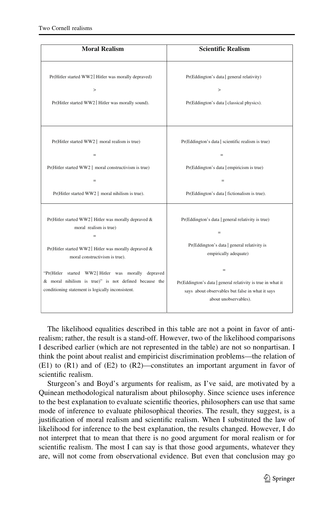

The likelihood equalities described in this table are not a point in favor of antirealism; rather, the result is a stand-off. However, two of the likelihood comparisons I described earlier (which are not represented in the table) are not so nonpartisan. I think the point about realist and empiricist discrimination problems—the relation of (E1) to (R1) and of (E2) to (R2)—constitutes an important argument in favor of scientific realism.

Sturgeon's and Boyd's arguments for realism, as I've said, are motivated by a Quinean methodological naturalism about philosophy. Since science uses inference to the best explanation to evaluate scientific theories, philosophers can use that same mode of inference to evaluate philosophical theories. The result, they suggest, is a justification of moral realism and scientific realism. When I substituted the law of likelihood for inference to the best explanation, the results changed. However, I do not interpret that to mean that there is no good argument for moral realism or for scientific realism. The most I can say is that those good arguments, whatever they are, will not come from observational evidence. But even that conclusion may go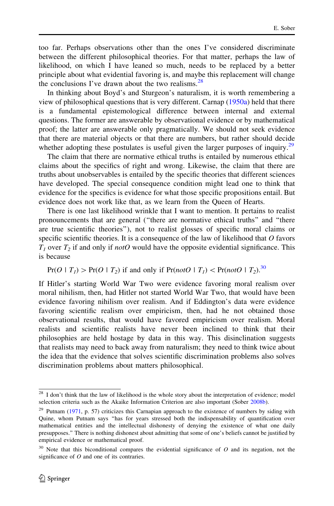too far. Perhaps observations other than the ones I've considered discriminate between the different philosophical theories. For that matter, perhaps the law of likelihood, on which I have leaned so much, needs to be replaced by a better principle about what evidential favoring is, and maybe this replacement will change the conclusions I've drawn about the two realisms. $^{28}$ 

In thinking about Boyd's and Sturgeon's naturalism, it is worth remembering a view of philosophical questions that is very different. Carnap ([1950a](#page-18-0)) held that there is a fundamental epistemological difference between internal and external questions. The former are answerable by observational evidence or by mathematical proof; the latter are answerable only pragmatically. We should not seek evidence that there are material objects or that there are numbers, but rather should decide whether adopting these postulates is useful given the larger purposes of inquiry.<sup>29</sup>

The claim that there are normative ethical truths is entailed by numerous ethical claims about the specifics of right and wrong. Likewise, the claim that there are truths about unobservables is entailed by the specific theories that different sciences have developed. The special consequence condition might lead one to think that evidence for the specifics is evidence for what those specific propositions entail. But evidence does not work like that, as we learn from the Queen of Hearts.

There is one last likelihood wrinkle that I want to mention. It pertains to realist pronouncements that are general (''there are normative ethical truths'' and ''there are true scientific theories''), not to realist glosses of specific moral claims or specific scientific theories. It is a consequence of the law of likelihood that  $O$  favors  $T_1$  over  $T_2$  if and only if *notO* would have the opposite evidential significance. This is because

# $Pr(O | T_1)$  >  $Pr(O | T_2)$  if and only if  $Pr(notO | T_1)$  <  $Pr(notO | T_2)$ .<sup>30</sup>

If Hitler's starting World War Two were evidence favoring moral realism over moral nihilism, then, had Hitler not started World War Two, that would have been evidence favoring nihilism over realism. And if Eddington's data were evidence favoring scientific realism over empiricism, then, had he not obtained those observational results, that would have favored empiricism over realism. Moral realists and scientific realists have never been inclined to think that their philosophies are held hostage by data in this way. This disinclination suggests that realists may need to back away from naturalism; they need to think twice about the idea that the evidence that solves scientific discrimination problems also solves discrimination problems about matters philosophical.

<sup>&</sup>lt;sup>28</sup> I don't think that the law of likelihood is the whole story about the interpretation of evidence; model selection criteria such as the Akaike Information Criterion are also important (Sober [2008b\)](#page-19-0).

<sup>&</sup>lt;sup>29</sup> Putnam ([1971,](#page-18-0) p. 57) criticizes this Carnapian approach to the existence of numbers by siding with Quine, whom Putnam says ''has for years stressed both the indispensability of quantification over mathematical entities and the intellectual dishonesty of denying the existence of what one daily presupposes.'' There is nothing dishonest about admitting that some of one's beliefs cannot be justified by empirical evidence or mathematical proof.

 $30$  Note that this biconditional compares the evidential significance of O and its negation, not the significance of O and one of its contraries.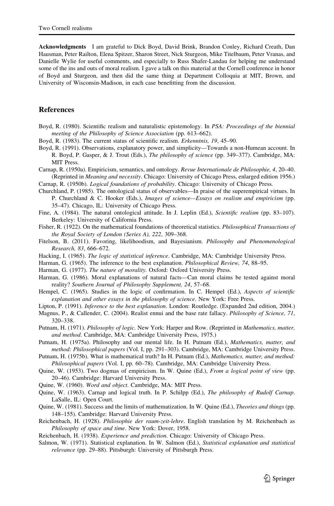<span id="page-18-0"></span>Acknowledgments I am grateful to Dick Boyd, David Brink, Brandon Conley, Richard Creath, Dan Hausman, Peter Railton, Elena Spitzer, Sharon Street, Nick Sturgeon, Mike Titelbaum, Peter Vranas, and Danielle Wylie for useful comments, and especially to Russ Shafer-Landau for helping me understand some of the ins and outs of moral realism. I gave a talk on this material at the Cornell conference in honor of Boyd and Sturgeon, and then did the same thing at Department Colloquia at MIT, Brown, and University of Wisconsin-Madison, in each case benefitting from the discussion.

#### **References**

- Boyd, R. (1980). Scientific realism and naturalistic epistemology. In PSA: Proceedings of the biennial meeting of the Philosophy of Science Association (pp. 613–662).
- Boyd, R. (1983). The current status of scientific realism. Erkenntnis, 19, 45–90.
- Boyd, R. (1991). Observations, explanatory power, and simplicity—Towards a non-Humean account. In R. Boyd, P. Gasper, & J. Trout (Eds.), The philosophy of science (pp. 349–377). Cambridge, MA: MIT Press.

Carnap, R. (1950a). Empiricism, semantics, and ontology. Revue Internationale de Philosophie, 4, 20–40. (Reprinted in Meaning and necessity. Chicago: University of Chicago Press, enlarged edition 1956.)

Carnap, R. (1950b). Logical foundations of probability. Chicago: University of Chicago Press.

- Churchland, P. (1985). The ontological status of observables—In praise of the superempirical virtues. In P. Churchland & C. Hooker (Eds.), Images of science—Essays on realism and empiricism (pp. 35–47). Chicago, IL: University of Chicago Press.
- Fine, A. (1984). The natural ontological attitude. In J. Leplin (Ed.), Scientific realism (pp. 83-107). Berkeley: University of California Press.
- Fisher, R. (1922). On the mathematical foundations of theoretical statistics. *Philosophical Transactions of* the Royal Society of London (Series A), 222, 309–368.
- Fitelson, B. (2011). Favoring, likelihoodism, and Bayesianism. Philosophy and Phenomenological Research, 83, 666–672.
- Hacking, I. (1965). The logic of statistical inference. Cambridge, MA: Cambridge University Press.
- Harman, G. (1965). The inference to the best explanation. *Philosophical Review*, 74, 88–95.
- Harman, G. (1977). The nature of morality. Oxford: Oxford University Press.
- Harman, G. (1986). Moral explanations of natural facts—Can moral claims be tested against moral reality? Southern Journal of Philosophy Supplement, 24, 57–68.
- Hempel, C. (1965). Studies in the logic of confirmation. In C. Hempel (Ed.), Aspects of scientific explanation and other essays in the philosophy of science. New York: Free Press.
- Lipton, P. (1991). Inference to the best explanation. London: Routledge. (Expanded 2nd edition, 2004.)
- Magnus, P., & Callender, C. (2004). Realist ennui and the base rate fallacy. Philosophy of Science, 71, 320–338.
- Putnam, H. (1971). Philosophy of logic. New York: Harper and Row. (Reprinted in Mathematics, matter, and method. Cambridge, MA: Cambridge University Press, 1975.)
- Putnam, H. (1975a). Philosophy and our mental life. In H. Putnam (Ed.), Mathematics, matter, and method: Philosophical papers (Vol. I, pp. 291–303). Cambridge, MA: Cambridge University Press.
- Putnam, H. (1975b). What is mathematical truth? In H. Putnam (Ed.), Mathematics, matter, and method: Philosophical papers (Vol. I, pp. 60–78). Cambridge, MA: Cambridge University Press.
- Quine, W. (1953). Two dogmas of empiricism. In W. Quine (Ed.), From a logical point of view (pp. 20–46). Cambridge: Harvard University Press.
- Quine, W. (1960). Word and object. Cambridge, MA: MIT Press.
- Quine, W. (1963). Carnap and logical truth. In P. Schilpp (Ed.), The philosophy of Rudolf Carnap. LaSalle, IL: Open Court.
- Quine, W. (1981). Success and the limits of mathematization. In W. Quine (Ed.), Theories and things (pp. 148–155). Cambridge: Harvard University Press.
- Reichenbach, H. (1928). Philosophie der raum-zeit-lehre. English translation by M. Reichenbach as Philosophy of space and time. New York: Dover, 1958.

Reichenbach, H. (1938). Experience and prediction. Chicago: University of Chicago Press.

Salmon, W. (1971). Statistical explanation. In W. Salmon (Ed.), Statistical explanation and statistical relevance (pp. 29–88). Pittsburgh: University of Pittsburgh Press.